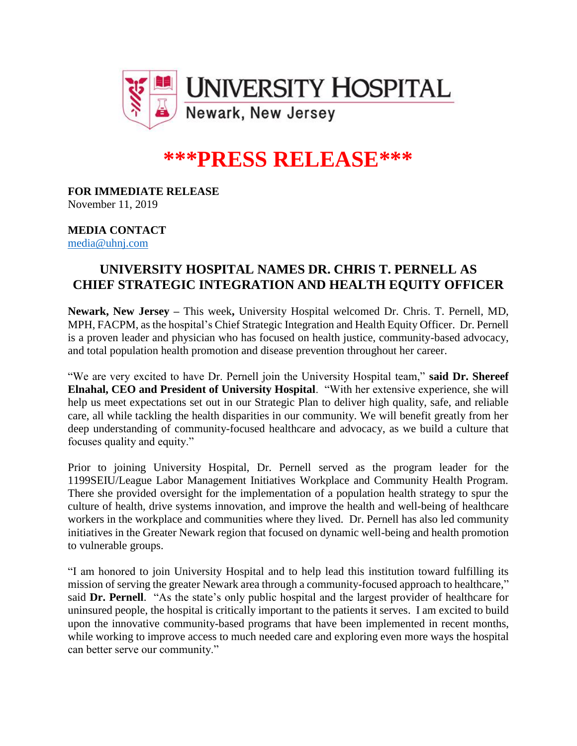

# **\*\*\*PRESS RELEASE\*\*\***

**FOR IMMEDIATE RELEASE** November 11, 2019

### **MEDIA CONTACT** [media@uhnj.com](mailto:media@uhnj.com)

# **UNIVERSITY HOSPITAL NAMES DR. CHRIS T. PERNELL AS CHIEF STRATEGIC INTEGRATION AND HEALTH EQUITY OFFICER**

**Newark, New Jersey –** This week**,** University Hospital welcomed Dr. Chris. T. Pernell, MD, MPH, FACPM, as the hospital's Chief Strategic Integration and Health Equity Officer. Dr. Pernell is a proven leader and physician who has focused on health justice, community-based advocacy, and total population health promotion and disease prevention throughout her career.

"We are very excited to have Dr. Pernell join the University Hospital team," **said Dr. Shereef Elnahal, CEO and President of University Hospital**. "With her extensive experience, she will help us meet expectations set out in our Strategic Plan to deliver high quality, safe, and reliable care, all while tackling the health disparities in our community. We will benefit greatly from her deep understanding of community-focused healthcare and advocacy, as we build a culture that focuses quality and equity."

Prior to joining University Hospital, Dr. Pernell served as the program leader for the 1199SEIU/League Labor Management Initiatives Workplace and Community Health Program. There she provided oversight for the implementation of a population health strategy to spur the culture of health, drive systems innovation, and improve the health and well-being of healthcare workers in the workplace and communities where they lived. Dr. Pernell has also led community initiatives in the Greater Newark region that focused on dynamic well-being and health promotion to vulnerable groups.

"I am honored to join University Hospital and to help lead this institution toward fulfilling its mission of serving the greater Newark area through a community-focused approach to healthcare," said **Dr. Pernell**. "As the state's only public hospital and the largest provider of healthcare for uninsured people, the hospital is critically important to the patients it serves. I am excited to build upon the innovative community-based programs that have been implemented in recent months, while working to improve access to much needed care and exploring even more ways the hospital can better serve our community."